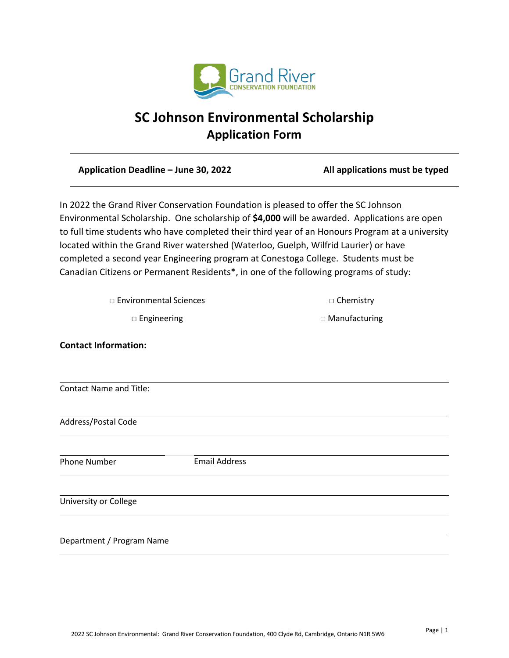

# **SC Johnson Environmental Scholarship Application Form**

**Application Deadline – June 30, 2022 All applications must be typed**

In 2022 the Grand River Conservation Foundation is pleased to offer the SC Johnson Environmental Scholarship. One scholarship of **\$4,000** will be awarded. Applications are open to full time students who have completed their third year of an Honours Program at a university located within the Grand River watershed (Waterloo, Guelph, Wilfrid Laurier) or have completed a second year Engineering program at Conestoga College. Students must be Canadian Citizens or Permanent Residents\*, in one of the following programs of study:

□ Environmental Sciences □ □ Chemistry

□ Engineering □ 2000 D Manufacturing

**Contact Information:** Contact Name and Title: Address/Postal Code Phone Number **Email Address** University or College Department / Program Name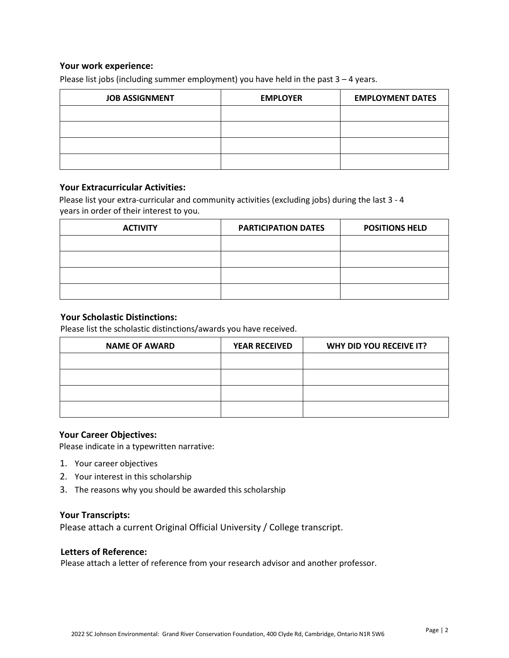## **Your work experience:**

Please list jobs (including summer employment) you have held in the past  $3 - 4$  years.

| <b>JOB ASSIGNMENT</b> | <b>EMPLOYER</b> | <b>EMPLOYMENT DATES</b> |
|-----------------------|-----------------|-------------------------|
|                       |                 |                         |
|                       |                 |                         |
|                       |                 |                         |
|                       |                 |                         |

#### **Your Extracurricular Activities:**

Please list your extra-curricular and community activities (excluding jobs) during the last 3 - 4 years in order of their interest to you.

| <b>ACTIVITY</b> | <b>PARTICIPATION DATES</b> | <b>POSITIONS HELD</b> |
|-----------------|----------------------------|-----------------------|
|                 |                            |                       |
|                 |                            |                       |
|                 |                            |                       |
|                 |                            |                       |

## **Your Scholastic Distinctions:**

Please list the scholastic distinctions/awards you have received.

| <b>NAME OF AWARD</b> | <b>YEAR RECEIVED</b> | WHY DID YOU RECEIVE IT? |
|----------------------|----------------------|-------------------------|
|                      |                      |                         |
|                      |                      |                         |
|                      |                      |                         |
|                      |                      |                         |

#### **Your Career Objectives:**

Please indicate in a typewritten narrative:

- 1. Your career objectives
- 2. Your interest in this scholarship
- 3. The reasons why you should be awarded this scholarship

#### **Your Transcripts:**

Please attach a current Original Official University / College transcript.

#### **Letters of Reference:**

Please attach a letter of reference from your research advisor and another professor.